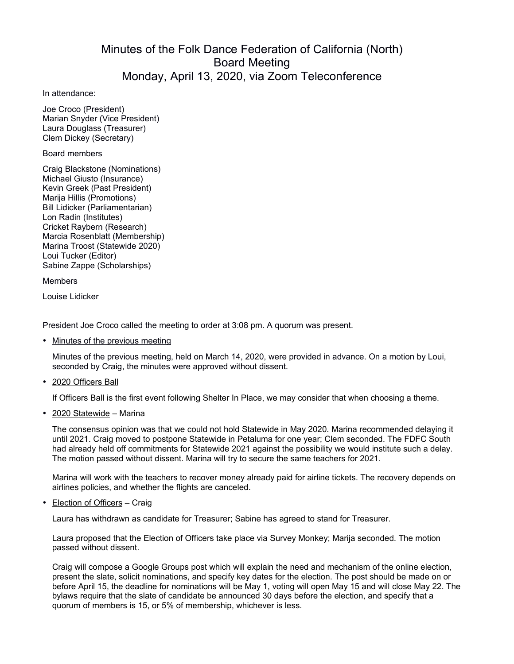## Minutes of the Folk Dance Federation of California (North) Board Meeting Monday, April 13, 2020, via Zoom Teleconference

In attendance:

Joe Croco (President) Marian Snyder (Vice President) Laura Douglass (Treasurer) Clem Dickey (Secretary)

Board members

Craig Blackstone (Nominations) Michael Giusto (Insurance) Kevin Greek (Past President) Marija Hillis (Promotions) Bill Lidicker (Parliamentarian) Lon Radin (Institutes) Cricket Raybern (Research) Marcia Rosenblatt (Membership) Marina Troost (Statewide 2020) Loui Tucker (Editor) Sabine Zappe (Scholarships)

**Members** 

Louise Lidicker

President Joe Croco called the meeting to order at 3:08 pm. A quorum was present.

• Minutes of the previous meeting

Minutes of the previous meeting, held on March 14, 2020, were provided in advance. On a motion by Loui, seconded by Craig, the minutes were approved without dissent.

• 2020 Officers Ball

If Officers Ball is the first event following Shelter In Place, we may consider that when choosing a theme.

• 2020 Statewide – Marina

The consensus opinion was that we could not hold Statewide in May 2020. Marina recommended delaying it until 2021. Craig moved to postpone Statewide in Petaluma for one year; Clem seconded. The FDFC South had already held off commitments for Statewide 2021 against the possibility we would institute such a delay. The motion passed without dissent. Marina will try to secure the same teachers for 2021.

Marina will work with the teachers to recover money already paid for airline tickets. The recovery depends on airlines policies, and whether the flights are canceled.

• Election of Officers – Craig

Laura has withdrawn as candidate for Treasurer; Sabine has agreed to stand for Treasurer.

Laura proposed that the Election of Officers take place via Survey Monkey; Marija seconded. The motion passed without dissent.

Craig will compose a Google Groups post which will explain the need and mechanism of the online election, present the slate, solicit nominations, and specify key dates for the election. The post should be made on or before April 15, the deadline for nominations will be May 1, voting will open May 15 and will close May 22. The bylaws require that the slate of candidate be announced 30 days before the election, and specify that a quorum of members is 15, or 5% of membership, whichever is less.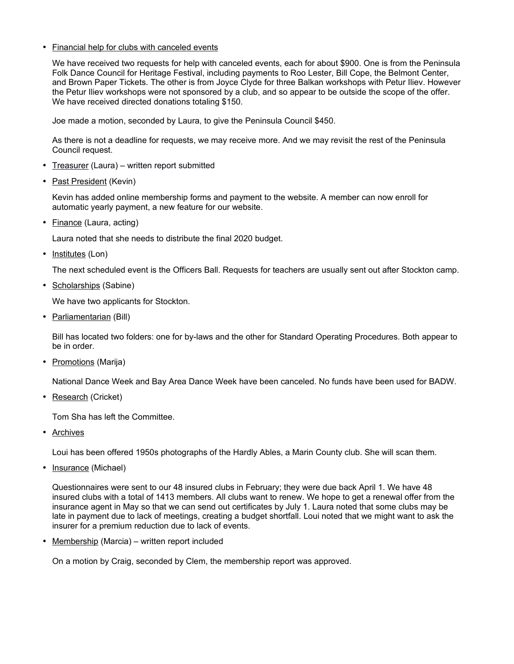## • Financial help for clubs with canceled events

We have received two requests for help with canceled events, each for about \$900. One is from the Peninsula Folk Dance Council for Heritage Festival, including payments to Roo Lester, Bill Cope, the Belmont Center, and Brown Paper Tickets. The other is from Joyce Clyde for three Balkan workshops with Petur Iliev. However the Petur Iliev workshops were not sponsored by a club, and so appear to be outside the scope of the offer. We have received directed donations totaling \$150.

Joe made a motion, seconded by Laura, to give the Peninsula Council \$450.

As there is not a deadline for requests, we may receive more. And we may revisit the rest of the Peninsula Council request.

- Treasurer (Laura) written report submitted
- Past President (Kevin)

Kevin has added online membership forms and payment to the website. A member can now enroll for automatic yearly payment, a new feature for our website.

• Finance (Laura, acting)

Laura noted that she needs to distribute the final 2020 budget.

• Institutes (Lon)

The next scheduled event is the Officers Ball. Requests for teachers are usually sent out after Stockton camp.

• Scholarships (Sabine)

We have two applicants for Stockton.

• Parliamentarian (Bill)

Bill has located two folders: one for by-laws and the other for Standard Operating Procedures. Both appear to be in order.

• Promotions (Marija)

National Dance Week and Bay Area Dance Week have been canceled. No funds have been used for BADW.

• Research (Cricket)

Tom Sha has left the Committee.

• Archives

Loui has been offered 1950s photographs of the Hardly Ables, a Marin County club. She will scan them.

• Insurance (Michael)

Questionnaires were sent to our 48 insured clubs in February; they were due back April 1. We have 48 insured clubs with a total of 1413 members. All clubs want to renew. We hope to get a renewal offer from the insurance agent in May so that we can send out certificates by July 1. Laura noted that some clubs may be late in payment due to lack of meetings, creating a budget shortfall. Loui noted that we might want to ask the insurer for a premium reduction due to lack of events.

• Membership (Marcia) – written report included

On a motion by Craig, seconded by Clem, the membership report was approved.